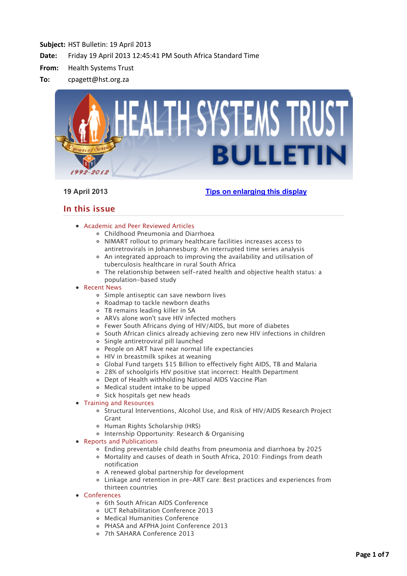

# **19 April 2013 [Tips on enlarging this display](http://bulletin.hst.org.za//lt.php?id=K09SD11TUQ8BSlBYBUUHC1NR)**

# **In this issue**

- [Academic and Peer Reviewed Articles](applewebdata://65453A6E-1A4C-409A-8986-2BDB9B6AC91A#Academic)
	- [Childhood Pneumonia and Diarrhoea](applewebdata://65453A6E-1A4C-409A-8986-2BDB9B6AC91A#A_0)
	- NIMART rollout to primary healthcare facilities increases access to [antiretrovirals in Johannesburg: An interrupted time series analysis](applewebdata://65453A6E-1A4C-409A-8986-2BDB9B6AC91A#A_1)
	- [An integrated approach to improving the availability and utilisation of](applewebdata://65453A6E-1A4C-409A-8986-2BDB9B6AC91A#A_2) tuberculosis healthcare in rural South Africa
	- [The relationship between self-rated health and objective health status: a](applewebdata://65453A6E-1A4C-409A-8986-2BDB9B6AC91A#A_3) population-based study
- [Recent News](applewebdata://65453A6E-1A4C-409A-8986-2BDB9B6AC91A#recent)
	- [Simple antiseptic can save newborn lives](applewebdata://65453A6E-1A4C-409A-8986-2BDB9B6AC91A#N_1)
	- [Roadmap to tackle newborn deaths](applewebdata://65453A6E-1A4C-409A-8986-2BDB9B6AC91A#N_2)
	- [TB remains leading killer in SA](applewebdata://65453A6E-1A4C-409A-8986-2BDB9B6AC91A#N_3)
	- [ARVs alone won't save HIV infected mothers](applewebdata://65453A6E-1A4C-409A-8986-2BDB9B6AC91A#N_4)
	- [Fewer South Africans dying of HIV/AIDS, but more of diabetes](applewebdata://65453A6E-1A4C-409A-8986-2BDB9B6AC91A#N_5)
	- [South African clinics already achieving zero new HIV infections in children](applewebdata://65453A6E-1A4C-409A-8986-2BDB9B6AC91A#N_6)
	- [Single antiretroviral pill launched](applewebdata://65453A6E-1A4C-409A-8986-2BDB9B6AC91A#N_7)
	- [People on ART have near normal life expectancies](applewebdata://65453A6E-1A4C-409A-8986-2BDB9B6AC91A#N_8)
	- [HIV in breastmilk spikes at weaning](applewebdata://65453A6E-1A4C-409A-8986-2BDB9B6AC91A#N_9)
	- [Global Fund targets \\$15 Billion to effectively fight AIDS, TB and Malaria](applewebdata://65453A6E-1A4C-409A-8986-2BDB9B6AC91A#N_10)
	- [28% of schoolgirls HIV positive stat incorrect: Health Department](applewebdata://65453A6E-1A4C-409A-8986-2BDB9B6AC91A#N_11)
	- [Dept of Health withholding National AIDS Vaccine Plan](applewebdata://65453A6E-1A4C-409A-8986-2BDB9B6AC91A#N_12)
	- [Medical student intake to be upped](applewebdata://65453A6E-1A4C-409A-8986-2BDB9B6AC91A#N_13)
	- o [Sick hospitals get new heads](applewebdata://65453A6E-1A4C-409A-8986-2BDB9B6AC91A#N_14)
- [Training and Resources](applewebdata://65453A6E-1A4C-409A-8986-2BDB9B6AC91A#train)
	- o [Structural Interventions, Alcohol Use, and Risk of HIV/AIDS Research Project](applewebdata://65453A6E-1A4C-409A-8986-2BDB9B6AC91A#T_1) Grant
	- [Human Rights Scholarship \(HRS\)](applewebdata://65453A6E-1A4C-409A-8986-2BDB9B6AC91A#T_2)
	- o Internship Opportunity: Research & Organising
- [Reports and Publications](applewebdata://65453A6E-1A4C-409A-8986-2BDB9B6AC91A#publications)
	- [Ending preventable child deaths from pneumonia and diarrhoea by 2025](applewebdata://65453A6E-1A4C-409A-8986-2BDB9B6AC91A#P_0)
	- [Mortality and causes of death in South Africa, 2010: Findings from death](applewebdata://65453A6E-1A4C-409A-8986-2BDB9B6AC91A#P_1) notification
	- [A renewed global partnership for development](applewebdata://65453A6E-1A4C-409A-8986-2BDB9B6AC91A#P_2)
	- [Linkage and retention in pre-ART care: Best practices and experiences from](applewebdata://65453A6E-1A4C-409A-8986-2BDB9B6AC91A#P_3) thirteen countries
- [Conferences](applewebdata://65453A6E-1A4C-409A-8986-2BDB9B6AC91A#conferences)
	- o [6th South African AIDS Conference](applewebdata://65453A6E-1A4C-409A-8986-2BDB9B6AC91A#C_1)
	- [UCT Rehabilitation Conference 2013](applewebdata://65453A6E-1A4C-409A-8986-2BDB9B6AC91A#C_2)
	- [Medical Humanities Conference](applewebdata://65453A6E-1A4C-409A-8986-2BDB9B6AC91A#C_3)
	- [PHASA and AFPHA Joint Conference 2013](applewebdata://65453A6E-1A4C-409A-8986-2BDB9B6AC91A#C_4)
	- [7th SAHARA Conference 2013](applewebdata://65453A6E-1A4C-409A-8986-2BDB9B6AC91A#C_5)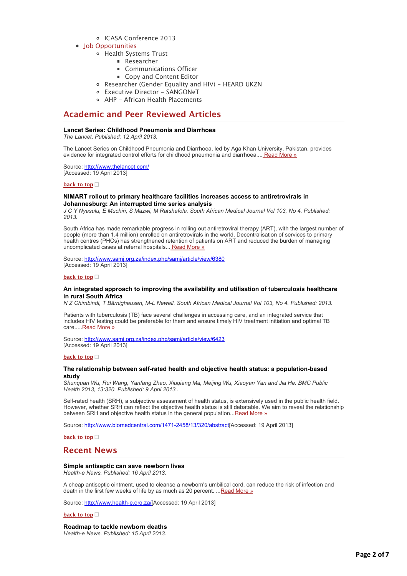# [ICASA Conference 2013](applewebdata://65453A6E-1A4C-409A-8986-2BDB9B6AC91A#C_6)

- [Job Opportunities](applewebdata://65453A6E-1A4C-409A-8986-2BDB9B6AC91A#jobs)
	- [Health Systems Trust](applewebdata://65453A6E-1A4C-409A-8986-2BDB9B6AC91A#J_1)
		- **[Researcher](applewebdata://65453A6E-1A4C-409A-8986-2BDB9B6AC91A#J_2)**
		- **[Communications Officer](applewebdata://65453A6E-1A4C-409A-8986-2BDB9B6AC91A#J_3)**
		- [Copy and Content Editor](applewebdata://65453A6E-1A4C-409A-8986-2BDB9B6AC91A#J_4)
	- o [Researcher \(Gender Equality and HIV\) HEARD UKZN](applewebdata://65453A6E-1A4C-409A-8986-2BDB9B6AC91A#J_5)
	- [Executive Director SANGONeT](applewebdata://65453A6E-1A4C-409A-8986-2BDB9B6AC91A#J_6)
	- [AHP African Health Placements](applewebdata://65453A6E-1A4C-409A-8986-2BDB9B6AC91A#J_0)

# **Academic and Peer Reviewed Articles**

# **Lancet Series: Childhood Pneumonia and Diarrhoea**

*The Lancet. Published: 12 April 2013.*

The Lancet Series on Childhood Pneumonia and Diarrhoea, led by Aga Khan University, Pakistan, provides evidence for integrated control efforts for childhood pneumonia and diarrhoea.... [Read More »](http://bulletin.hst.org.za//lt.php?id=K09SD11TUQ8ASlBYBUUHC1NR)

Source: [http://www.thelancet.com/](http://bulletin.hst.org.za//lt.php?id=K09SD11TUQ8ASlBYBUUHC1NR) [Accessed: 19 April 2013]

**[back to top](applewebdata://65453A6E-1A4C-409A-8986-2BDB9B6AC91A#top)**

# **NIMART rollout to primary healthcare facilities increases access to antiretrovirals in Johannesburg: An interrupted time series analysis**

*J C Y Nyasulu, E Muchiri, S Mazwi, M Ratshefola. South African Medical Journal Vol 103, No 4. Published: 2013.*

South Africa has made remarkable progress in rolling out antiretroviral therapy (ART), with the largest number of people (more than 1.4 million) enrolled on antiretrovirals in the world. Decentralisation of services to primary health centres (PHCs) has strengthened retention of patients on ART and reduced the burden of managing uncomplicated cases at referral hospitals... [Read More »](http://bulletin.hst.org.za//lt.php?id=K09SD11TUQ8PSlBYBUUHC1NR)

Source: [http://www.samj.org.za/index.php/samj/article/view/6380](http://bulletin.hst.org.za//lt.php?id=K09SD11TUQ8PSlBYBUUHC1NR) [Accessed: 19 April 2013]

#### **[back to top](applewebdata://65453A6E-1A4C-409A-8986-2BDB9B6AC91A#top)**

# **An integrated approach to improving the availability and utilisation of tuberculosis healthcare in rural South Africa**

*N Z Chimbindi, T Bärnighausen, M-L Newell. South African Medical Journal Vol 103, No 4. Published: 2013.*

Patients with tuberculosis (TB) face several challenges in accessing care, and an integrated service that includes HIV testing could be preferable for them and ensure timely HIV treatment initiation and optimal TB care.....**Read More** »

Source: [http://www.samj.org.za/index.php/samj/article/view/6423](http://bulletin.hst.org.za//lt.php?id=K09SD11TUQ8OSlBYBUUHC1NR) [Accessed: 19 April 2013]

# **[back to top](applewebdata://65453A6E-1A4C-409A-8986-2BDB9B6AC91A#top)**

# **The relationship between self-rated health and objective health status: a population-based study**

*Shunquan Wu, Rui Wang, Yanfang Zhao, Xiuqiang Ma, Meijing Wu, Xiaoyan Yan and Jia He. BMC Public Health 2013, 13:320. Published: 9 April 2013 .*

Self-rated health (SRH), a subjective assessment of health status, is extensively used in the public health field. However, whether SRH can reflect the objective health status is still debatable. We aim to reveal the relationship between SRH and objective health status in the general population... Read More »

Source: [http://www.biomedcentral.com/1471-2458/13/320/abstract\[](http://bulletin.hst.org.za//lt.php?id=K09SD11TUAYHSlBYBUUHC1NR)Accessed: 19 April 2013]

**[back to top](applewebdata://65453A6E-1A4C-409A-8986-2BDB9B6AC91A#top)**

# **Recent News**

### **Simple antiseptic can save newborn lives**

*Health-e News. Published: 16 April 2013.*

A cheap antiseptic ointment, used to cleanse a newborn's umbilical cord, can reduce the risk of infection and death in the first few weeks of life by as much as 20 percent. ..[.Read More »](http://bulletin.hst.org.za//lt.php?id=K09SD11TUAYGSlBYBUUHC1NR)

Source: [http://www.health-e.org.za/\[](http://bulletin.hst.org.za//lt.php?id=K09SD11TUAYFSlBYBUUHC1NR)Accessed: 19 April 2013]

**[back to top](applewebdata://65453A6E-1A4C-409A-8986-2BDB9B6AC91A#top)**

# **Roadmap to tackle newborn deaths**

*Health-e News. Published: 15 April 2013.*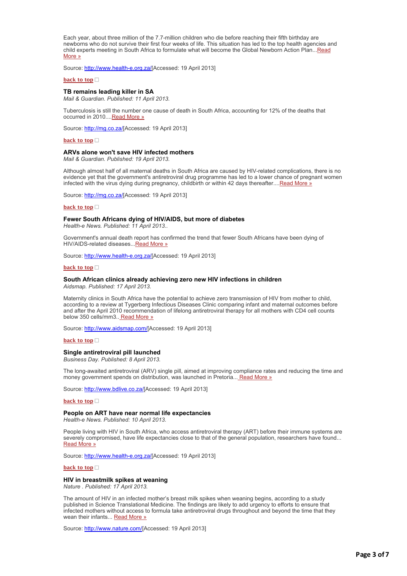Each year, about three million of the 7.7-million children who die before reaching their fifth birthday are newborns who do not survive their first four weeks of life. This situation has led to the top health agencies and [child experts meeting in South Africa to formulate what will become the Global Newborn Action Plan...Read](http://bulletin.hst.org.za//lt.php?id=K09SD11TUAYDSlBYBUUHC1NR) More »

Source: [http://www.health-e.org.za/\[](http://bulletin.hst.org.za//lt.php?id=K09SD11TUAMOSlBYBUUHC1NR)Accessed: 19 April 2013]

#### **[back to top](applewebdata://65453A6E-1A4C-409A-8986-2BDB9B6AC91A#top)**

#### **TB remains leading killer in SA**

*Mail & Guardian. Published: 11 April 2013.*

Tuberculosis is still the number one cause of death in South Africa, accounting for 12% of the deaths that occurred in 2010...[.Read More »](http://bulletin.hst.org.za//lt.php?id=K09SD11TUAYASlBYBUUHC1NR)

Source: http://mq.co.za/[Accessed: 19 April 2013]

#### **[back to top](applewebdata://65453A6E-1A4C-409A-8986-2BDB9B6AC91A#top)**

#### **ARVs alone won't save HIV infected mothers**

*Mail & Guardian. Published: 19 April 2013.*

Although almost half of all maternal deaths in South Africa are caused by HIV-related complications, there is no evidence yet that the government's antiretroviral drug programme has led to a lower chance of pregnant women infected with the virus dying during pregnancy, childbirth or within 42 days thereafter...[.Read More »](http://bulletin.hst.org.za//lt.php?id=K09SD11TUAABSlBYBUUHC1NR)

Source: [http://mg.co.za/\[](http://bulletin.hst.org.za//lt.php?id=K09SD11TUAAASlBYBUUHC1NR)Accessed: 19 April 2013]

#### **[back to top](applewebdata://65453A6E-1A4C-409A-8986-2BDB9B6AC91A#top)**

#### **Fewer South Africans dying of HIV/AIDS, but more of diabetes**

*Health-e News. Published: 11 April 2013..*

Government's annual death report has confirmed the trend that fewer South Africans have been dying of HIV/AIDS-related diseases... [Read More »](http://bulletin.hst.org.za//lt.php?id=K09SD11TUAYOSlBYBUUHC1NR)

Source: [http://www.health-e.org.za/\[](http://bulletin.hst.org.za//lt.php?id=K09SD11TUAAHSlBYBUUHC1NR)Accessed: 19 April 2013]

#### **[back to top](applewebdata://65453A6E-1A4C-409A-8986-2BDB9B6AC91A#top)**

### **South African clinics already achieving zero new HIV infections in children**

*Aidsmap. Published: 17 April 2013.*

Maternity clinics in South Africa have the potential to achieve zero transmission of HIV from mother to child, according to a review at Tygerberg Infectious Diseases Clinic comparing infant and maternal outcomes before and after the April 2010 recommendation of lifelong antiretroviral therapy for all mothers with CD4 cell counts below 350 cells/mm3.. [Read More »](http://bulletin.hst.org.za//lt.php?id=K09SD11TUAcHSlBYBUUHC1NR)

Source: [http://www.aidsmap.com/\[](http://bulletin.hst.org.za//lt.php?id=K09SD11TUAcGSlBYBUUHC1NR)Accessed: 19 April 2013]

#### **[back to top](applewebdata://65453A6E-1A4C-409A-8986-2BDB9B6AC91A#top)**

#### **Single antiretroviral pill launched**

*Business Day. Published: 8 April 2013.*

The long-awaited antiretroviral (ARV) single pill, aimed at improving compliance rates and reducing the time and money government spends on distribution, was launched in Pretoria... [Read More »](http://bulletin.hst.org.za//lt.php?id=K09SD11TUAcFSlBYBUUHC1NR)

Source: [http://www.bdlive.co.za/](http://bulletin.hst.org.za//lt.php?id=K09SD11TUAcESlBYBUUHC1NR)[Accessed: 19 April 2013]

#### **[back to top](applewebdata://65453A6E-1A4C-409A-8986-2BDB9B6AC91A#top)**

#### **People on ART have near normal life expectancies**

*Health-e News. Published: 10 April 2013.*

People living with HIV in South Africa, who access antiretroviral therapy (ART) before their immune systems are severely compromised, have life expectancies close to that of the general population, researchers have found... [Read More »](http://bulletin.hst.org.za//lt.php?id=K09SD11TUAcDSlBYBUUHC1NR)

Source: [http://www.health-e.org.za/\[](http://bulletin.hst.org.za//lt.php?id=K09SD11TUAAGSlBYBUUHC1NR)Accessed: 19 April 2013]

**[back to top](applewebdata://65453A6E-1A4C-409A-8986-2BDB9B6AC91A#top)**

#### **HIV in breastmilk spikes at weaning**

*Nature . Published: 17 April 2013.*

The amount of HIV in an infected mother's breast milk spikes when weaning begins, according to a study published in Science Translational Medicine. The findings are likely to add urgency to efforts to ensure that infected mothers without access to formula take antiretroviral drugs throughout and beyond the time that they wean their infants... [Read More »](http://bulletin.hst.org.za//lt.php?id=K09SD11TUAEHSlBYBUUHC1NR)

Source: [http://www.nature.com/\[](http://bulletin.hst.org.za//lt.php?id=K09SD11TUAEGSlBYBUUHC1NR)Accessed: 19 April 2013]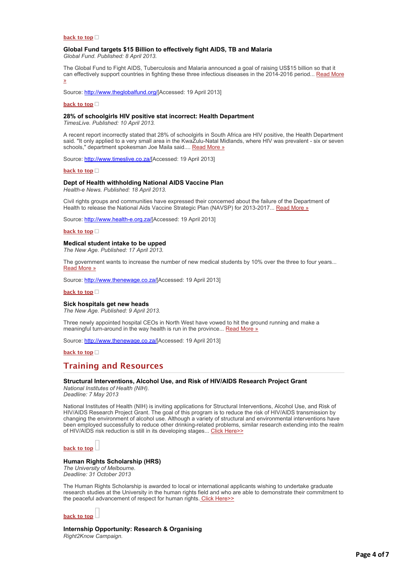#### **[back to top](applewebdata://65453A6E-1A4C-409A-8986-2BDB9B6AC91A#top)**

# **Global Fund targets \$15 Billion to effectively fight AIDS, TB and Malaria**

*Global Fund. Published: 8 April 2013.*

The Global Fund to Fight AIDS, Tuberculosis and Malaria announced a goal of raising US\$15 billion so that it [can effectively support countries in fighting these three infectious diseases in the 2014-2016 period... Read More](http://bulletin.hst.org.za//lt.php?id=K09SD11TUAcBSlBYBUUHC1NR) »

Source: [http://www.theglobalfund.org/\[](http://bulletin.hst.org.za//lt.php?id=K09SD11TUAcASlBYBUUHC1NR)Accessed: 19 April 2013]

#### **[back to top](applewebdata://65453A6E-1A4C-409A-8986-2BDB9B6AC91A#top)**

### **28% of schoolgirls HIV positive stat incorrect: Health Department**

*TimesLive. Published: 10 April 2013.*

A recent report incorrectly stated that 28% of schoolgirls in South Africa are HIV positive, the Health Department said. "It only applied to a very small area in the KwaZulu-Natal Midlands, where HIV was prevalent - six or seven schools," department spokesman Joe Maila said.... [Read More »](http://bulletin.hst.org.za//lt.php?id=K09SD11TUAcPSlBYBUUHC1NR)

Source: [http://www.timeslive.co.za/\[](http://bulletin.hst.org.za//lt.php?id=K09SD11TUAcOSlBYBUUHC1NR)Accessed: 19 April 2013]

### **[back to top](applewebdata://65453A6E-1A4C-409A-8986-2BDB9B6AC91A#top)**

### **Dept of Health withholding National AIDS Vaccine Plan**

*Health-e News. Published: 18 April 2013.*

Civil rights groups and communities have expressed their concerned about the failure of the Department of Health to release the National Aids Vaccine Strategic Plan (NAVSP) for 2013-2017... [Read More »](http://bulletin.hst.org.za//lt.php?id=K09SD11TUAAPSlBYBUUHC1NR)

Source: [http://www.health-e.org.za/\[](http://bulletin.hst.org.za//lt.php?id=K09SD11TUAAOSlBYBUUHC1NR)Accessed: 19 April 2013]

#### **[back to top](applewebdata://65453A6E-1A4C-409A-8986-2BDB9B6AC91A#top)**

## **Medical student intake to be upped**

*The New Age. Published: 17 April 2013.*

The government wants to increase the number of new medical students by 10% over the three to four years... [Read More »](http://bulletin.hst.org.za//lt.php?id=K09SD11TUAADSlBYBUUHC1NR)

Source: [http://www.thenewage.co.za/\[](http://bulletin.hst.org.za//lt.php?id=K09SD11TUAACSlBYBUUHC1NR)Accessed: 19 April 2013]

#### **[back to top](applewebdata://65453A6E-1A4C-409A-8986-2BDB9B6AC91A#top)**

#### **Sick hospitals get new heads**

*The New Age. Published: 9 April 2013.*

Three newly appointed hospital CEOs in North West have vowed to hit the ground running and make a meaningful turn-around in the way health is run in the province... [Read More »](http://bulletin.hst.org.za//lt.php?id=K09SD11TUAQHSlBYBUUHC1NR)

Source: [http://www.thenewage.co.za/\[](http://bulletin.hst.org.za//lt.php?id=K09SD11TUAQGSlBYBUUHC1NR)Accessed: 19 April 2013]

**[back to top](applewebdata://65453A6E-1A4C-409A-8986-2BDB9B6AC91A#top)**

# **Training and Resources**

#### **Structural Interventions, Alcohol Use, and Risk of HIV/AIDS Research Project Grant**

*National Institutes of Health (NIH). Deadline: 7 May 2013*

National Institutes of Health (NIH) is inviting applications for Structural Interventions, Alcohol Use, and Risk of HIV/AIDS Research Project Grant. The goal of this program is to reduce the risk of HIV/AIDS transmission by changing the environment of alcohol use. Although a variety of structural and environmental interventions have been employed successfully to reduce other drinking-related problems, similar research extending into the realm of HIV/AIDS risk reduction is still in its developing stages... [Click Here>>](http://bulletin.hst.org.za//lt.php?id=K09SD11TUAQBSlBYBUUHC1NR)

**[back to top](applewebdata://65453A6E-1A4C-409A-8986-2BDB9B6AC91A#top)**

# **Human Rights Scholarship (HRS)**

*The University of Melbourne. Deadline: 31 October 2013*

The Human Rights Scholarship is awarded to local or international applicants wishing to undertake graduate research studies at the University in the human rights field and who are able to demonstrate their commitment to the peaceful advancement of respect for human rights. [Click Here>>](http://bulletin.hst.org.za//lt.php?id=K09SD11TUAQASlBYBUUHC1NR)



# **Internship Opportunity: Research & Organising** *Right2Know Campaign.*

Page 4 of 7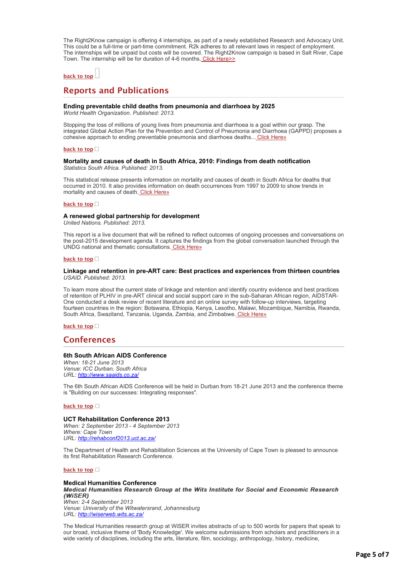The Right2Know campaign is offering 4 internships, as part of a newly established Research and Advocacy Unit. This could be a full-time or part-time commitment. R2k adheres to all relevant laws in respect of employment. The internships will be unpaid but costs will be covered. The Right2Know campaign is based in Salt River, Cape Town. The internship will be for duration of 4-6 months. [Click Here>>](http://bulletin.hst.org.za//lt.php?id=K09SD11TUAQPSlBYBUUHC1NR)

# **[back to top](applewebdata://65453A6E-1A4C-409A-8986-2BDB9B6AC91A#top)**

# **Reports and Publications**

# **Ending preventable child deaths from pneumonia and diarrhoea by 2025**

*World Health Organization. Published: 2013.*

Stopping the loss of millions of young lives from pneumonia and diarrhoea is a goal within our grasp. The integrated Global Action Plan for the Prevention and Control of Pneumonia and Diarrhoea (GAPPD) proposes a cohesive approach to ending preventable pneumonia and diarrhoea deaths... [Click Here»](http://bulletin.hst.org.za//lt.php?id=K09SD11TUAQOSlBYBUUHC1NR)

#### **[back to top](applewebdata://65453A6E-1A4C-409A-8986-2BDB9B6AC91A#top)**

### **Mortality and causes of death in South Africa, 2010: Findings from death notification** *Statistics South Africa. Published: 2013.*

This statistical release presents information on mortality and causes of death in South Africa for deaths that occurred in 2010. It also provides information on death occurrences from 1997 to 2009 to show trends in mortality and causes of death. [Click Here»](http://bulletin.hst.org.za//lt.php?id=K09SD11TUAUHSlBYBUUHC1NR)

#### **[back to top](applewebdata://65453A6E-1A4C-409A-8986-2BDB9B6AC91A#top)**

#### **A renewed global partnership for development**

*United Nations. Published: 2013.*

This report is a live document that will be refined to reflect outcomes of ongoing processes and conversations on the post-2015 development agenda. It captures the findings from the global conversation launched through the UNDG national and thematic consultations. [Click Here»](http://bulletin.hst.org.za//lt.php?id=K09SD11TUAUGSlBYBUUHC1NR)

#### **[back to top](applewebdata://65453A6E-1A4C-409A-8986-2BDB9B6AC91A#top)**

### **Linkage and retention in pre-ART care: Best practices and experiences from thirteen countries** *USAID. Published: 2013.*

To learn more about the current state of linkage and retention and identify country evidence and best practices of retention of PLHIV in pre-ART clinical and social support care in the sub-Saharan African region, AIDSTAR-One conducted a desk review of recent literature and an online survey with follow-up interviews, targeting fourteen countries in the region: Botswana, Ethiopia, Kenya, Lesotho, Malawi, Mozambique, Namibia, Rwanda, South Africa, Swaziland, Tanzania, Uganda, Zambia, and Zimbabwe. [Click Here»](http://bulletin.hst.org.za//lt.php?id=K09SD11TUAAFSlBYBUUHC1NR)

### **[back to top](applewebdata://65453A6E-1A4C-409A-8986-2BDB9B6AC91A#top)**

# **Conferences**

# **6th South African AIDS Conference**

*When: 18-21 June 2013 Venue: ICC Durban, South Africa URL: [http://www.saaids.co.za/](http://bulletin.hst.org.za//lt.php?id=K09SD11TUAUFSlBYBUUHC1NR)*

The 6th South African AIDS Conference will be held in Durban from 18-21 June 2013 and the conference theme is "Building on our successes: Integrating responses".

#### **[back to top](applewebdata://65453A6E-1A4C-409A-8986-2BDB9B6AC91A#top)**

#### **UCT Rehabilitation Conference 2013**

*When: 2 September 2013 - 4 September 2013 Where: Cape Town URL: [http://rehabconf2013.uct.ac.za/](http://bulletin.hst.org.za//lt.php?id=K09SD11TUAUESlBYBUUHC1NR)*

The Department of Health and Rehabilitation Sciences at the University of Cape Town is pleased to announce its first Rehabilitation Research Conference.

#### **[back to top](applewebdata://65453A6E-1A4C-409A-8986-2BDB9B6AC91A#top)**

# **Medical Humanities Conference** *Medical Humanities Research Group at the Wits Institute for Social and Economic Research Medical Humanities Research at the Wits for Social and Economic Research (WiSER) (WiSER) When: 2-4 September 2013*

*Venue: University of the Witwatersrand, Johannesburg URL: [http://wiserweb.wits.ac.za/](http://bulletin.hst.org.za//lt.php?id=K09SD11TUAUDSlBYBUUHC1NR)*

The Medical Humanities research group at WiSER invites abstracts of up to 500 words for papers that speak to our broad, inclusive theme of 'Body Knowledge'. We welcome submissions from scholars and practitioners in a wide variety of disciplines, including the arts, literature, film, sociology, anthropology, history, medicine,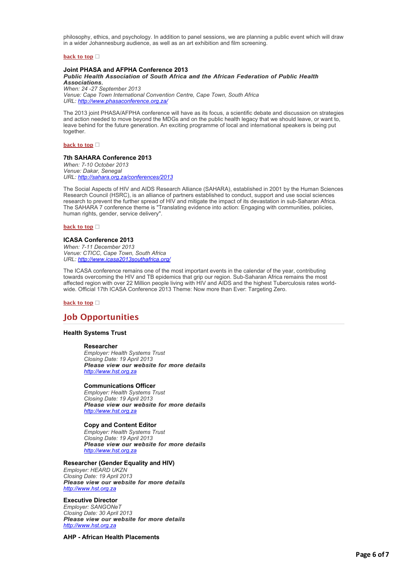philosophy, ethics, and psychology. In addition to panel sessions, we are planning a public event which will draw in a wider Johannesburg audience, as well as an art exhibition and film screening.

# **[back to top](applewebdata://65453A6E-1A4C-409A-8986-2BDB9B6AC91A#top)**

# **Joint PHASA and AFPHA Conference 2013**

*Public Health Association of South Africa and the African Federation of Public Health Public Health Association of South Africa and the African Federation of Public Health Associations. Associations. When: 24 -27 September 2013 Venue: Cape Town International Convention Centre, Cape Town, South Africa URL: [http://www.phasaconference.org.za/](http://bulletin.hst.org.za//lt.php?id=K09SD11TUAUCSlBYBUUHC1NR)*

The 2013 joint PHASA/AFPHA conference will have as its focus, a scientific debate and discussion on strategies and action needed to move beyond the MDGs and on the public health legacy that we should leave, or want to, leave behind for the future generation. An exciting programme of local and international speakers is being put together.

# **[back to top](applewebdata://65453A6E-1A4C-409A-8986-2BDB9B6AC91A#top)**

# **7th SAHARA Conference 2013**

*When: 7-10 October 2013 Venue: Dakar, Senegal URL: [http://sahara.org.za/conferences/2013](http://bulletin.hst.org.za//lt.php?id=K09SD11TUAUBSlBYBUUHC1NR)*

The Social Aspects of HIV and AIDS Research Alliance (SAHARA), established in 2001 by the Human Sciences Research Council (HSRC), is an alliance of partners established to conduct, support and use social sciences research to prevent the further spread of HIV and mitigate the impact of its devastation in sub-Saharan Africa. The SAHARA 7 conference theme is "Translating evidence into action: Engaging with communities, policies, human rights, gender, service delivery".

#### **[back to top](applewebdata://65453A6E-1A4C-409A-8986-2BDB9B6AC91A#top)**

# **ICASA Conference 2013**

*When: 7-11 December 2013 Venue: CTICC, Cape Town, South Africa URL: [http://www.icasa2013southafrica.org/](http://bulletin.hst.org.za//lt.php?id=K09SD11TUAUASlBYBUUHC1NR)*

The ICASA conference remains one of the most important events in the calendar of the year, contributing towards overcoming the HIV and TB epidemics that grip our region. Sub-Saharan Africa remains the most affected region with over 22 Million people living with HIV and AIDS and the highest Tuberculosis rates worldwide. Official 17th ICASA Conference 2013 Theme: Now more than Ever: Targeting Zero.

**[back to top](applewebdata://65453A6E-1A4C-409A-8986-2BDB9B6AC91A#top)**

# **Job Opportunities**

# **Health Systems Trust**

#### **Researcher**

*Employer: Health Systems Trust Closing Date: 19 April 2013 Please view our website for more details Please view our website more details [http://www.hst.org.za](http://bulletin.hst.org.za//lt.php?id=K09SD11TUAUPSlBYBUUHC1NR)*

### **Communications Officer**

*Employer: Health Systems Trust Closing Date: 19 April 2013 Please view our website for more details Please view our website more details [http://www.hst.org.za](http://bulletin.hst.org.za//lt.php?id=K09SD11TUAUOSlBYBUUHC1NR)*

# **Copy and Content Editor**

*Employer: Health Systems Trust Closing Date: 19 April 2013 Please view our website for more details Please view our website more details [http://www.hst.org.za](http://bulletin.hst.org.za//lt.php?id=K09SD11TUAIHSlBYBUUHC1NR)*

# **Researcher (Gender Equality and HIV)**

*Employer: HEARD UKZN Closing Date: 19 April 2013 Please view our website for more details Please view our website more details [http://www.hst.org.za](http://bulletin.hst.org.za//lt.php?id=K09SD11TUAIGSlBYBUUHC1NR)*

# **Executive Director**

*Employer: SANGONeT Closing Date: 30 April 2013 Please view our website for more details Please view our website more details [http://www.hst.org.za](http://bulletin.hst.org.za//lt.php?id=K09SD11TUAIFSlBYBUUHC1NR)*

# **AHP - African Health Placements**